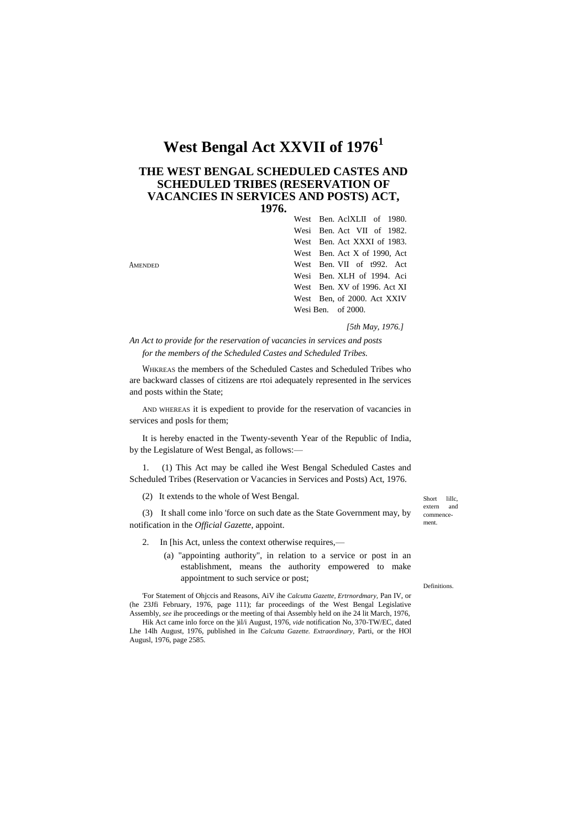# **West Bengal Act XXVII of 1976<sup>1</sup>**

## **THE WEST BENGAL SCHEDULED CASTES AND SCHEDULED TRIBES (RESERVATION OF VACANCIES IN SERVICES AND POSTS) ACT, 1976.**

|         | West Ben. AclXLII of 1980.   |
|---------|------------------------------|
|         | Wesi Ben. Act VII of 1982.   |
|         | West Ben. Act XXXI of 1983.  |
|         | West Ben. Act X of 1990, Act |
| Amended | West Ben. VII of t992. Act   |
|         | Wesi Ben. XLH of 1994. Aci   |
|         | West Ben. XV of 1996. Act XI |
|         | West Ben. of 2000. Act XXIV  |
|         | Wesi Ben. of $2000$ .        |
|         |                              |

*[5th May, 1976.]*

*An Act to provide for the reservation of vacancies in services and posts for the members of the Scheduled Castes and Scheduled Tribes.*

WHKREAS the members of the Scheduled Castes and Scheduled Tribes who are backward classes of citizens are rtoi adequately represented in Ihe services and posts within the State;

AND WHEREAS it is expedient to provide for the reservation of vacancies in services and posls for them;

It is hereby enacted in the Twenty-seventh Year of the Republic of India, by the Legislature of West Bengal, as follows:—

1. (1) This Act may be called ihe West Bengal Scheduled Castes and Scheduled Tribes (Reservation or Vacancies in Services and Posts) Act, 1976.

(2) It extends to the whole of West Bengal.

Augusl, 1976, page 2585.

(3) It shall come inlo 'force on such date as the State Government may, by notification in the *Official Gazette*, appoint.

- 2. In [his Act, unless the context otherwise requires,—
	- (a) "appointing authority", in relation to a service or post in an establishment, means the authority empowered to make appointment to such service or post;

'For Statement of Ohjccis and Reasons, AiV ihe *Calcutta Gazette, Ertrnordmary,* Pan IV, or (he 23Jfi February, 1976, page 111); far proceedings of the West Bengal Legislative Assembly, *see* ihe proceedings or the meeting of thai Assembly held on ihe 24 lit March, 1976, Hik Act came inlo force on the )il/i August, 1976, *vide* notification No, 370-TW/EC, dated Lhe 14lh August, 1976, published in Ihe *Calcutta Gazette. Extraordinary,* Parti, or the HOl

Short lille extern and commencement.

Definitions.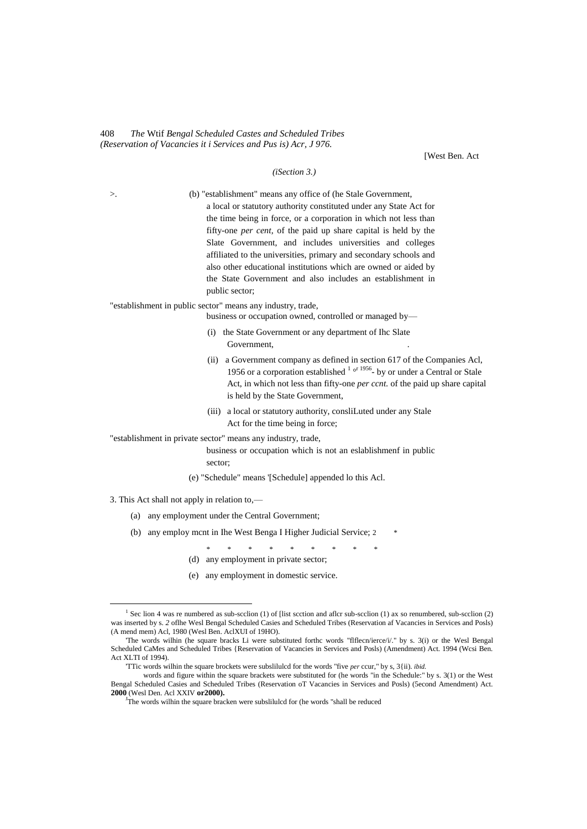#### 408 *The* Wtif *Bengal Scheduled Castes and Scheduled Tribes (Reservation of Vacancies it i Services and Pus is) Acr, J 976.*

[West Ben. Act

### *(iSection 3.)*

| >.  |     | (b) "establishment" means any office of (he Stale Government,                                                                                                                                                                                                                                 |
|-----|-----|-----------------------------------------------------------------------------------------------------------------------------------------------------------------------------------------------------------------------------------------------------------------------------------------------|
|     |     | a local or statutory authority constituted under any State Act for                                                                                                                                                                                                                            |
|     |     | the time being in force, or a corporation in which not less than                                                                                                                                                                                                                              |
|     |     | fifty-one per cent, of the paid up share capital is held by the                                                                                                                                                                                                                               |
|     |     | Slate Government, and includes universities and colleges                                                                                                                                                                                                                                      |
|     |     | affiliated to the universities, primary and secondary schools and                                                                                                                                                                                                                             |
|     |     | also other educational institutions which are owned or aided by<br>the State Government and also includes an establishment in                                                                                                                                                                 |
|     |     | public sector;                                                                                                                                                                                                                                                                                |
|     |     | "establishment in public sector" means any industry, trade,                                                                                                                                                                                                                                   |
|     |     | business or occupation owned, controlled or managed by-                                                                                                                                                                                                                                       |
|     |     | (i) the State Government or any department of Ihc Slate<br>Government,                                                                                                                                                                                                                        |
|     |     | a Government company as defined in section 617 of the Companies Acl,<br>(ii)<br>1956 or a corporation established $1 \circ r 1956$ by or under a Central or Stale<br>Act, in which not less than fifty-one <i>per cont</i> . of the paid up share capital<br>is held by the State Government, |
|     |     | (iii) a local or statutory authority, consliLuted under any Stale<br>Act for the time being in force;                                                                                                                                                                                         |
|     |     | "establishment in private sector" means any industry, trade,                                                                                                                                                                                                                                  |
|     |     | business or occupation which is not an eslablishmenf in public<br>sector;                                                                                                                                                                                                                     |
|     |     | (e) "Schedule" means '[Schedule] appended lo this Acl.                                                                                                                                                                                                                                        |
|     |     | 3. This Act shall not apply in relation to,-                                                                                                                                                                                                                                                  |
| (a) |     | any employment under the Central Government;                                                                                                                                                                                                                                                  |
|     |     | (b) any employ ment in Ihe West Benga I Higher Judicial Service; 2<br>*                                                                                                                                                                                                                       |
|     |     | $\ast$<br>(d) any employment in private sector;                                                                                                                                                                                                                                               |
|     | (e) | any employment in domestic service.                                                                                                                                                                                                                                                           |
|     |     |                                                                                                                                                                                                                                                                                               |

 $\overline{a}$ 

<sup>&</sup>lt;sup>1</sup> Sec lion 4 was re numbered as sub-scclion (1) of [list scction and aflcr sub-scclion (1) ax so renumbered, sub-scclion (2) was inserted by s. *2* oflhe Wesl Bengal Scheduled Casies and Scheduled Tribes (Reservation af Vacancies in Services and Posls) (A mend mem) Acl, 1980 (Wesl Ben. AclXUI of 19HO).

<sup>&#</sup>x27;The words wilhin (he square bracks Li were substituted forthc words "flflecn/ierce/i/." by s. 3(i) or the Wesl Bengal Scheduled CaMes and Scheduled Tribes {Reservation of Vacancies in Services and Posls) (Amendment) Act. 1994 (Wcsi Ben. Act XLTI of 1994).

<sup>&#</sup>x27;TTic words wilhin the square brockets were subslilulcd for the words "five *per* ccur," by s, 3{ii). *ibid.*

words and figure within the square brackets were substituted for (he words "in the Schedule:" by s. 3(1) or the West Bengal Scheduled Casies and Scheduled Tribes (Reservation oT Vacancies in Services and Posls) (5econd Amendment) Act. **2000** (Wesl Den. Acl XXIV **or2000).**

The words wilhin the square bracken were subslilulcd for (he words "shall be reduced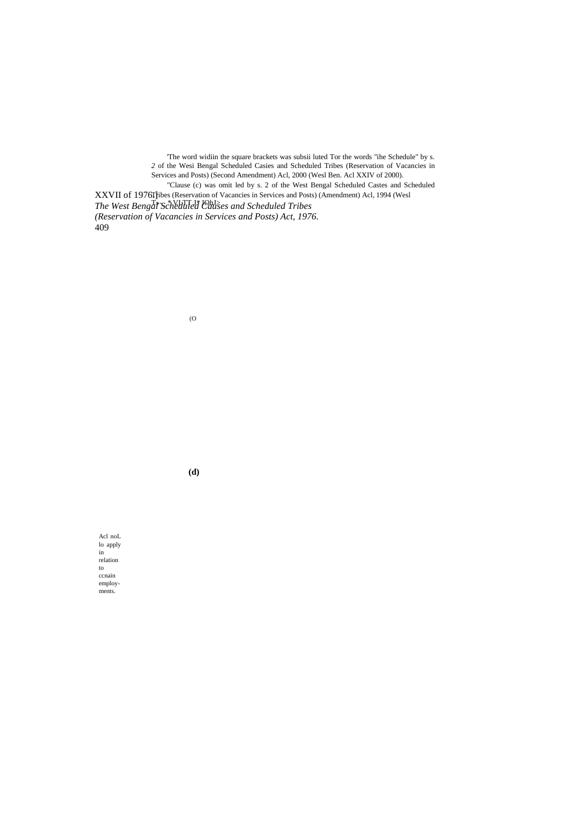XXVII of 1976Thes (Reservation of Vacancies in Services and Posts) (Amendment) Acl, 1994 (Wesl *The West Bengat<sup>s-</sup>Scheduled Causes and Scheduled Tribes (Reservation of Vacancies in Services and Posts) Act, 1976.* 409 'The word widiin the square brackets was subsii luted Tor the words "ihe Schedule" by s. 2 of the Wesi Bengal Scheduled Casies and Scheduled Tribes (Reservation of Vacancies in Services and Posts) (Second Amendment) Acl, 2000 (Wesl Ben. Acl XXIV of 2000). "Clause (c) was omit led by s. 2 of the West Bengal Scheduled Castes and Scheduled

(O

**(d)**

Acl noL lo apply in relation to ccnain employments.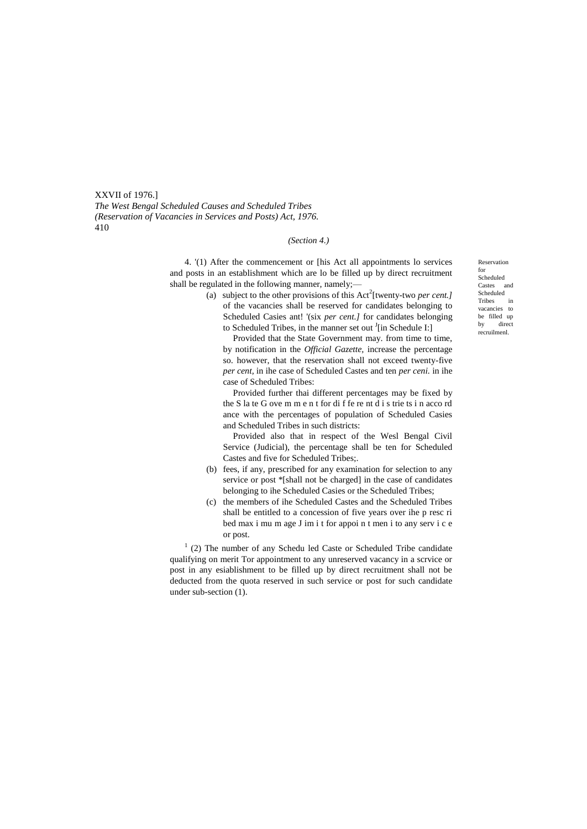XXVII of 1976.] *The West Bengal Scheduled Causes and Scheduled Tribes (Reservation of Vacancies in Services and Posts) Act, 1976.* 410

#### *(Section 4.)*

4. '(1) After the commencement or [his Act all appointments lo services and posts in an establishment which are lo be filled up by direct recruitment shall be regulated in the following manner, namely;—

(a) subject to the other provisions of this  $Act^2$ [twenty-two *per cent.]* of the vacancies shall be reserved for candidates belonging to Scheduled Casies ant! '(six *per cent.]* for candidates belonging to Scheduled Tribes, in the manner set out <sup>J</sup>[in Schedule I:]

Provided that the State Government may. from time to time, by notification in the *Official Gazette,* increase the percentage so. however, that the reservation shall not exceed twenty-five *per cent,* in ihe case of Scheduled Castes and ten *per ceni.* in ihe case of Scheduled Tribes:

Provided further thai different percentages may be fixed by the S la te G ove m m e n t for di f fe re nt d i s trie ts i n acco rd ance with the percentages of population of Scheduled Casies and Scheduled Tribes in such districts:

Provided also that in respect of the Wesl Bengal Civil Service (Judicial), the percentage shall be ten for Scheduled Castes and five for Scheduled Tribes;.

- (b) fees, if any, prescribed for any examination for selection to any service or post \*[shall not be charged] in the case of candidates belonging to ihe Scheduled Casies or the Scheduled Tribes;
- (c) the members of ihe Scheduled Castes and the Scheduled Tribes shall be entitled to a concession of five years over ihe p resc ri bed max i mu m age J im i t for appoi n t men i to any serv i c e or post.

 $1$  (2) The number of any Schedu led Caste or Scheduled Tribe candidate qualifying on merit Tor appointment to any unreserved vacancy in a scrvice or post in any esiablishment to be filled up by direct recruitment shall not be deducted from the quota reserved in such service or post for such candidate under sub-section (1).

Reservation for Scheduled Castes and Scheduled Tribes in vacancies to be filled up by direct recruilmenl.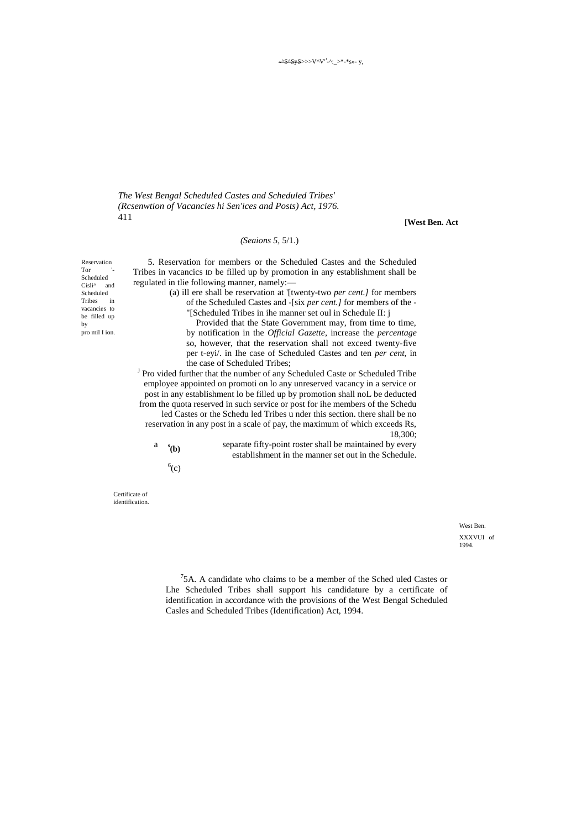*The West Bengal Scheduled Castes and Scheduled Tribes' (Rcsenwtion of Vacancies hi Sen'ices and Posts) Act, 1976.* 411

**[West Ben. Act**

#### *(Seaions 5,* 5/1.)

Reservation  $Tor$ Scheduled  $Cisli^{\wedge}$  and Scheduled Tribes in vacancies to be filled up by pro mil I ion.

5. Reservation for members or the Scheduled Castes and the Scheduled Tribes in vacancics ID be filled up by promotion in any establishment shall be regulated in tlie following manner, namely:—

(a) ill ere shall be reservation at '[twenty-two *per cent.]* for members of the Scheduled Castes and -[six *per cent.]* for members of the - "[Scheduled Tribes in ihe manner set oul in Schedule II: j

Provided that the State Government may, from time to time, by notification in the *Official Gazette*, increase the *percentage* so, however, that the reservation shall not exceed twenty-five

per t-eyi/. in Ihe case of Scheduled Castes and ten *per cent,* in the case of Scheduled Tribes; <sup>J</sup> Pro vided further that the number of any Scheduled Caste or Scheduled Tribe

employee appointed on promoti on lo any unreserved vacancy in a service or post in any establishment lo be filled up by promotion shall noL be deducted from the quota reserved in such service or post for ihe members of the Schedu led Castes or the Schedu led Tribes u nder this section. there shall be no reservation in any post in a scale of pay, the maximum of which exceeds Rs, 18,300;

| $a$ $s(b)$ | separate fifty-point roster shall be maintained by every |
|------------|----------------------------------------------------------|
|            | establishment in the manner set out in the Schedule.     |

 $^6$ (c)

Certificate of identification.

> West Ben. XXXVUI of 1994.

 $75A$ . A candidate who claims to be a member of the Sched uled Castes or Lhe Scheduled Tribes shall support his candidature by a certificate of identification in accordance with the provisions of the West Bengal Scheduled Casles and Scheduled Tribes (Identification) Act, 1994.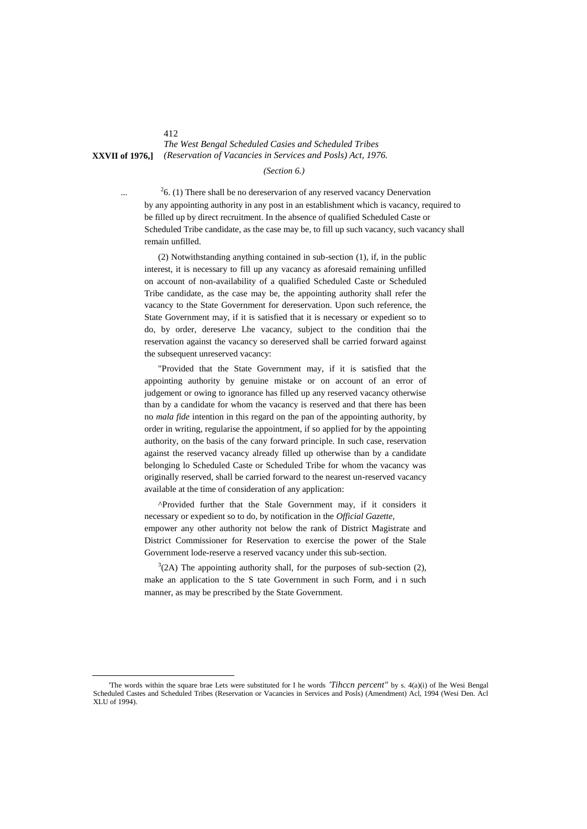# *The West Bengal Scheduled Casies and Scheduled Tribes* **XXVII of 1976,]** *(Reservation of Vacancies in Services and Posls) Act, 1976.*

#### *(Section 6.)*

 $26.$  (1) There shall be no dereservarion of any reserved vacancy Denervation by any appointing authority in any post in an establishment which is vacancy, required to be filled up by direct recruitment. In the absence of qualified Scheduled Caste or Scheduled Tribe candidate, as the case may be, to fill up such vacancy, such vacancy shall remain unfilled.

(2) Notwithstanding anything contained in sub-section (1), if, in the public interest, it is necessary to fill up any vacancy as aforesaid remaining unfilled on account of non-availability of a qualified Scheduled Caste or Scheduled Tribe candidate, as the case may be, the appointing authority shall refer the vacancy to the State Government for dereservation. Upon such reference, the State Government may, if it is satisfied that it is necessary or expedient so to do, by order, dereserve Lhe vacancy, subject to the condition thai the reservation against the vacancy so dereserved shall be carried forward against the subsequent unreserved vacancy:

"Provided that the State Government may, if it is satisfied that the appointing authority by genuine mistake or on account of an error of judgement or owing to ignorance has filled up any reserved vacancy otherwise than by a candidate for whom the vacancy is reserved and that there has been no *mala fide* intention in this regard on the pan of the appointing authority, by order in writing, regularise the appointment, if so applied for by the appointing authority, on the basis of the cany forward principle. In such case, reservation against the reserved vacancy already filled up otherwise than by a candidate belonging lo Scheduled Caste or Scheduled Tribe for whom the vacancy was originally reserved, shall be carried forward to the nearest un-reserved vacancy available at the time of consideration of any application:

^Provided further that the Stale Government may, if it considers it necessary or expedient so to do, by notification in the *Official Gazette,* empower any other authority not below the rank of District Magistrate and District Commissioner for Reservation to exercise the power of the Stale Government lode-reserve a reserved vacancy under this sub-section.

 $3(2A)$  The appointing authority shall, for the purposes of sub-section (2), make an application to the S tate Government in such Form, and i n such manner, as may be prescribed by the State Government.

#### 412

...

 $\overline{a}$ 

<sup>&#</sup>x27;The words within the square brae Lets were substituted for I he words *'Tihccn percent"* by s. 4(a)(i) of lhe Wesi Bengal Scheduled Castes and Scheduled Tribes (Reservation or Vacancies in Services and Posls) (Amendment) Acl, 1994 (Wesi Den. Acl XLU of 1994).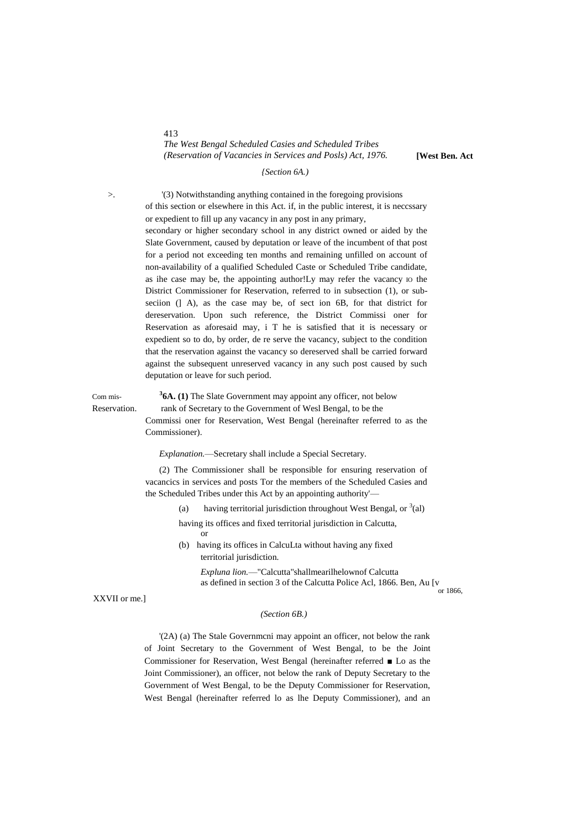#### 413 *The West Bengal Scheduled Casies and Scheduled Tribes (Reservation of Vacancies in Services and Posls) Act, 1976.* **[West Ben. Act**

#### *{Section 6A.)*

>. '(3) Notwithstanding anything contained in the foregoing provisions of this section or elsewhere in this Act. if, in the public interest, it is neccssary or expedient to fill up any vacancy in any post in any primary, secondary or higher secondary school in any district owned or aided by the Slate Government, caused by deputation or leave of the incumbent of that post for a period not exceeding ten months and remaining unfilled on account of non-availability of a qualified Scheduled Caste or Scheduled Tribe candidate, as ihe case may be, the appointing author!Ly may refer the vacancy IO the District Commissioner for Reservation, referred to in subsection (1), or subseciion (] A), as the case may be, of sect ion 6B, for that district for dereservation. Upon such reference, the District Commissi oner for Reservation as aforesaid may, i T he is satisfied that it is necessary or expedient so to do, by order, de re serve the vacancy, subject to the condition that the reservation against the vacancy so dereserved shall be carried forward against the subsequent unreserved vacancy in any such post caused by such

deputation or leave for such period.

Com mis-

**3 6A. (1)** The Slate Government may appoint any officer, not below Reservation. rank of Secretary to the Government of Wesl Bengal, to be the Commissi oner for Reservation, West Bengal (hereinafter referred to as the Commissioner).

*Explanation.*—Secretary shall include a Special Secretary.

(2) The Commissioner shall be responsible for ensuring reservation of vacancics in services and posts Tor the members of the Scheduled Casies and the Scheduled Tribes under this Act by an appointing authority'—

(a) having territorial jurisdiction throughout West Bengal, or  $3$ (al)

having its offices and fixed territorial jurisdiction in Calcutta, or

(b) having its offices in CalcuLta without having any fixed territorial jurisdiction.

> *Expluna lion.*—"Calcutta"shallmearilhelownof Calcutta as defined in section 3 of the Calcutta Police Acl, 1866. Ben, Au [v

.<br>or 1866

XXVII or me.]

#### *(Section 6B.)*

'(2A) (a) The Stale Governmcni may appoint an officer, not below the rank of Joint Secretary to the Government of West Bengal, to be the Joint Commissioner for Reservation, West Bengal (hereinafter referred ■ Lo as the Joint Commissioner), an officer, not below the rank of Deputy Secretary to the Government of West Bengal, to be the Deputy Commissioner for Reservation, West Bengal (hereinafter referred lo as lhe Deputy Commissioner), and an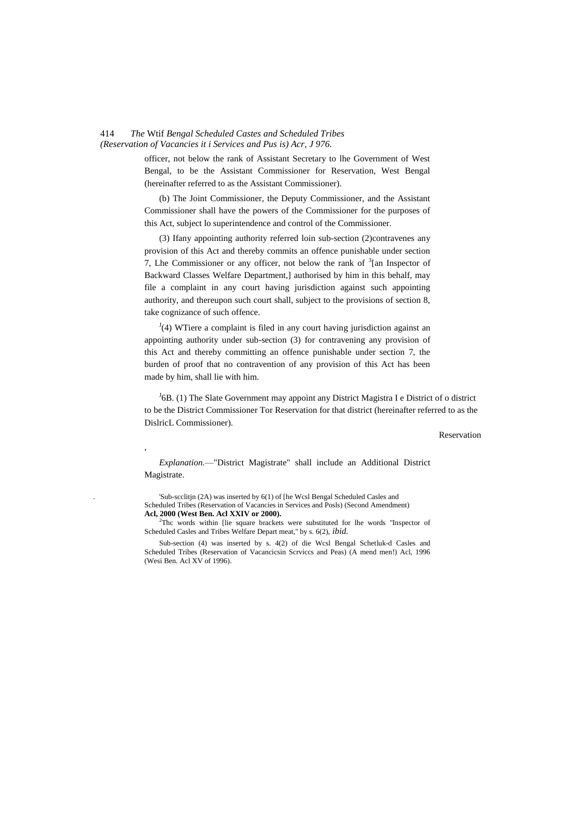#### 414 *The* Wtif *Bengal Scheduled Castes and Scheduled Tribes (Reservation of Vacancies it i Services and Pus is) Acr, J 976.*

,

officer, not below the rank of Assistant Secretary to lhe Government of West Bengal, to be the Assistant Commissioner for Reservation, West Bengal (hereinafter referred to as the Assistant Commissioner).

(b) The Joint Commissioner, the Deputy Commissioner, and the Assistant Commissioner shall have the powers of the Commissioner for the purposes of this Act, subject lo superintendence and control of the Commissioner.

(3) Ifany appointing authority referred loin sub-section (2)contravenes any provision of this Act and thereby commits an offence punishable under section 7, Lhe Commissioner or any officer, not below the rank of  $3$ [an Inspector of Backward Classes Welfare Department,] authorised by him in this behalf, may file a complaint in any court having jurisdiction against such appointing authority, and thereupon such court shall, subject to the provisions of section 8, take cognizance of such offence.

 $J(4)$  WTiere a complaint is filed in any court having jurisdiction against an appointing authority under sub-section (3) for contravening any provision of this Act and thereby committing an offence punishable under section 7, the burden of proof that no contravention of any provision of this Act has been made by him, shall lie with him.

<sup>J</sup>6B. (1) The Slate Government may appoint any District Magistra I e District of o district to be the District Commissioner Tor Reservation for that district (hereinafter referred to as the DislricL Commissioner).

Reservation

*Explanation.*—"District Magistrate" shall include an Additional District Magistrate.

. 'Sub-scclitjn (2A) was inserted by 6(1) of [he Wcsl Bengal Scheduled Casles and Scheduled Tribes (Reservation of Vacancies in Services and Posls) (Second Amendment) **Acl, 2000 (West Ben. Acl XXIV or 2000).**

<sup>2</sup>Thc words within [lie square brackets were substituted for lhe words "Inspector of Scheduled Casles and Tribes Welfare Depart meat," by s. 6(2), *ibid.*

Sub-section (4) was inserted by s. 4(2) of die Wcsl Bengal Schetluk-d Casles and Scheduled Tribes (Reservation of Vacancicsin Scrviccs and Peas) (A mend men!) Acl, 1996 (Wesi Ben. Acl XV of 1996).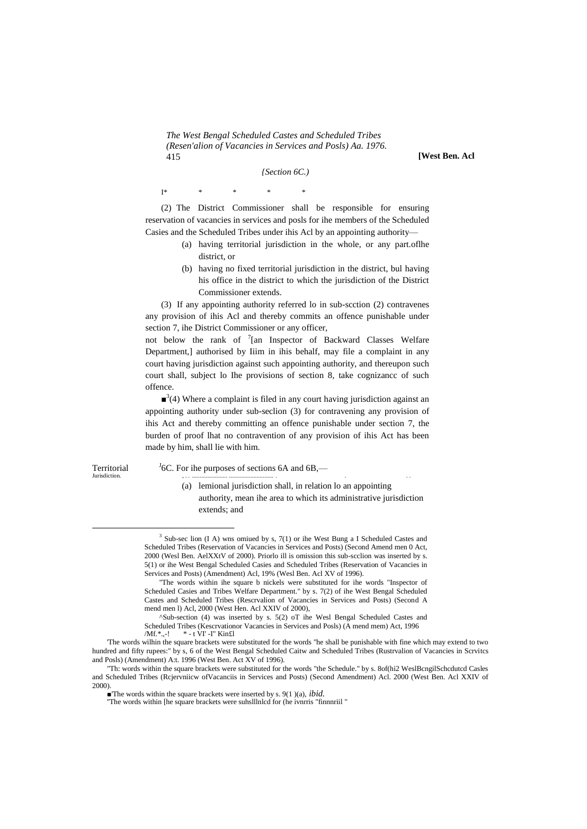*The West Bengal Scheduled Castes and Scheduled Tribes (Resen'alion of Vacancies in Services and Posls) Aa. 1976.* 415 **[West Ben. Acl**

*{Section 6C.)*

I\* \* \* \* \*

(2) The District Commissioner shall be responsible for ensuring reservation of vacancies in services and posls for ihe members of the Scheduled Casies and the Scheduled Tribes under ihis Acl by an appointing authority—

- (a) having territorial jurisdiction in the whole, or any part.oflhe district, or
- (b) having no fixed territorial jurisdiction in the district, bul having his office in the district to which the jurisdiction of the District Commissioner extends.

(3) If any appointing authority referred lo in sub-scction (2) contravenes any provision of ihis Acl and thereby commits an offence punishable under section 7, ihe District Commissioner or any officer,

not below the rank of <sup>7</sup>[an Inspector of Backward Classes Welfare Department,] authorised by Iiim in ihis behalf, may file a complaint in any court having jurisdiction against such appointing authority, and thereupon such court shall, subject lo Ihe provisions of section 8, take cognizancc of such offence.

 $\mathbf{a}^3$ (4) Where a complaint is filed in any court having jurisdiction against an appointing authority under sub-seclion (3) for contravening any provision of ihis Act and thereby committing an offence punishable under section 7, the burden of proof lhat no contravention of any provision of ihis Act has been made by him, shall lie with him.

Territorial<br>Jurisdiction. Jurisdiction. , . . ....................... ............................. . . . .

 $\overline{a}$ 

 ${}^{J}$ 6C. For ihe purposes of sections 6A and 6B,—

(a) lemional jurisdiction shall, in relation lo an appointing authority, mean ihe area to which its administrative jurisdiction extends; and

<sup>&</sup>lt;sup>3</sup> Sub-sec lion (I A) wns omiued by s, 7(1) or ihe West Bung a I Scheduled Castes and Scheduled Tribes (Reservation of Vacancies in Services and Posts) (Second Amend men 0 Act, 2000 (Wesl Ben. AelXXtV of 2000). Priorlo ill is omission this sub-scclion was inserted by s. 5(1) or ihe West Bengal Scheduled Casies and Scheduled Tribes (Reservation of Vacancies in Services and Posts) (Amendment) Acl, 19% (Wesl Ben. Acl XV of 1996).

<sup>&</sup>quot;The words within ihe square b nickels were substituted for ihe words "Inspector of Scheduled Casies and Tribes Welfare Department." by s. 7(2) of ihe West Bengal Scheduled Castes and Scheduled Tribes (Rescrvalion of Vacancies in Services and Posts) (Second A mend men l) Acl, 2000 (West Hen. Acl XXIV of 2000),

<sup>^</sup>Sub-section (4) was inserted by s. 5(2) oT ihe Wesl Bengal Scheduled Castes and Scheduled Tribes (Kescrvationor Vacancies in Services and Posls) (A mend mem) Act, 1996 /Mf.\*.,-! \* - t VI' -I" Kin£l

<sup>&#</sup>x27;The words wilhin the square brackets were substituted for the words "he shall be punishable with fine which may extend to two hundred and fifty rupees:" by s, 6 of the West Bengal Scheduled Caitw and Scheduled Tribes (Rustrvalion of Vacancies in Scrvitcs and Posls) (Amendment) A:t. 1996 (West Ben. Act XV of 1996).

<sup>&</sup>quot;Th: words within the square brackets were substituted for the words "the Schedule." by s. 8of(hi2 WeslBcngilSchcdutcd Casles and Scheduled Tribes (Rcjervniicw ofVacanciis in Services and Posts) (Second Amendment) Acl. 2000 (West Ben. Acl XXIV of 2000).

<sup>■</sup>The words within the square brackets were inserted by s. 9(1)(a), *ibid.* 

<sup>&#</sup>x27;'The words within [he square brackets were suhslllnlcd for (he ivnrris "finnnriil "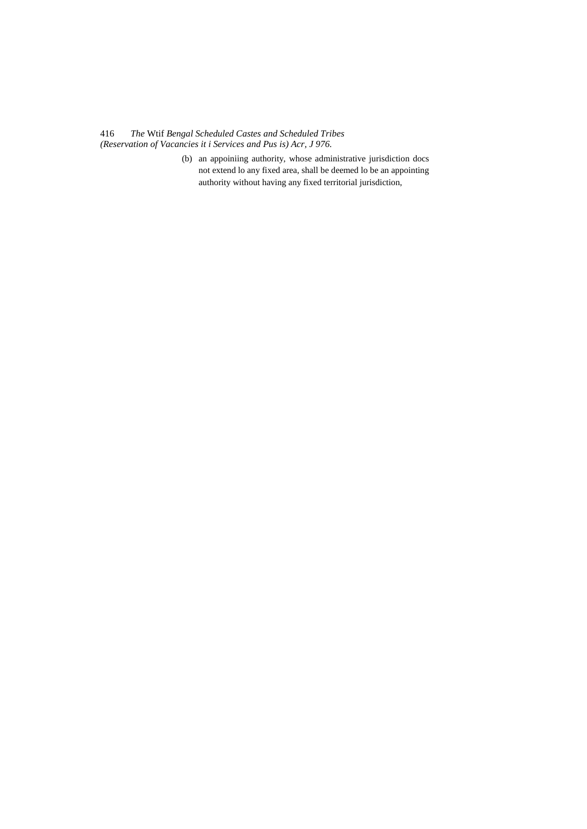416 *The* Wtif *Bengal Scheduled Castes and Scheduled Tribes (Reservation of Vacancies it i Services and Pus is) Acr, J 976.*

> (b) an appoiniing authority, whose administrative jurisdiction docs not extend lo any fixed area, shall be deemed lo be an appointing authority without having any fixed territorial jurisdiction,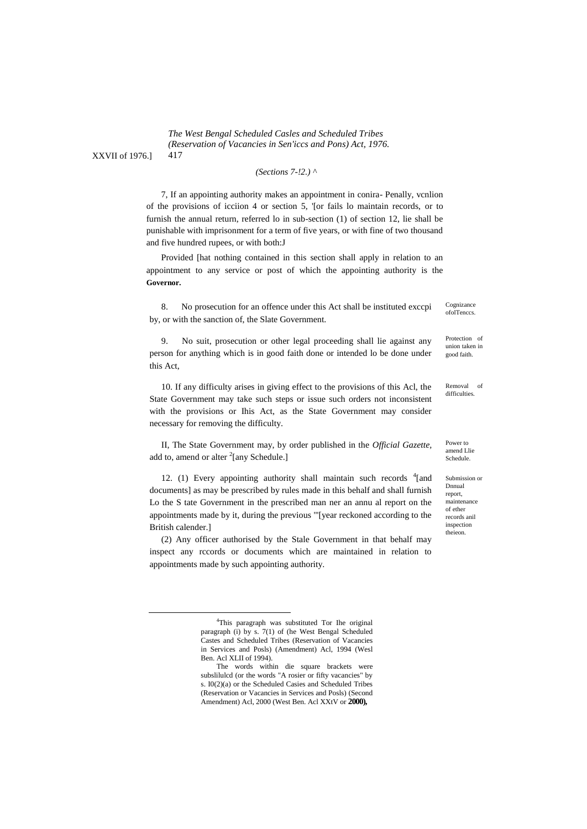*The West Bengal Scheduled Casles and Scheduled Tribes (Reservation of Vacancies in Sen'iccs and Pons) Act, 1976.* 417

*(Sections 7-!2.) ^*

7, If an appointing authority makes an appointment in conira- Penally, vcnlion of the provisions of icciion 4 or section 5, '[or fails lo maintain records, or to furnish the annual return, referred lo in sub-section (1) of section 12, lie shall be punishable with imprisonment for a term of five years, or with fine of two thousand and five hundred rupees, or with both:J

Provided [hat nothing contained in this section shall apply in relation to an appointment to any service or post of which the appointing authority is the **Governor.**

8. No prosecution for an offence under this Act shall be instituted exccpi by, or with the sanction of, the Slate Government.

9. No suit, prosecution or other legal proceeding shall lie against any person for anything which is in good faith done or intended lo be done under this Act,

10. If any difficulty arises in giving effect to the provisions of this Acl, the State Government may take such steps or issue such orders not inconsistent with the provisions or Ihis Act, as the State Government may consider necessary for removing the difficulty.

II, The State Government may, by order published in the *Official Gazette,* add to, amend or alter <sup>2</sup>[any Schedule.]

12. (1) Every appointing authority shall maintain such records  $4$ [and documents] as may be prescribed by rules made in this behalf and shall furnish Lo the S tate Government in the prescribed man ner an annu al report on the appointments made by it, during the previous "'[year reckoned according to the British calender.]

(2) Any officer authorised by the Stale Government in that behalf may inspect any rccords or documents which are maintained in relation to appointments made by such appointing authority.

Cognizance ofolTenccs.

Protection of union taken in good faith.

Removal of difficulties.

Power to amend Llie Schedule.

Submission or Dnnual report, maintenance of ether records anil inspection theieon.

XXVII of 1976.]

1

<sup>4</sup> This paragraph was substituted Tor Ihe original paragraph (i) by s. 7(1) of (he West Bengal Scheduled Castes and Scheduled Tribes (Reservation of Vacancies in Services and Posls) (Amendment) Acl, 1994 (Wesl Ben. Acl XLII of 1994).

The words within die square brackets were subslilulcd (or the words "A rosier or fifty vacancies" by s. I0(2)(a) or the Scheduled Casies and Scheduled Tribes (Reservation or Vacancies in Services and Posls) (Second Amendment) Acl, 2000 (West Ben. Acl XXtV or **2000),**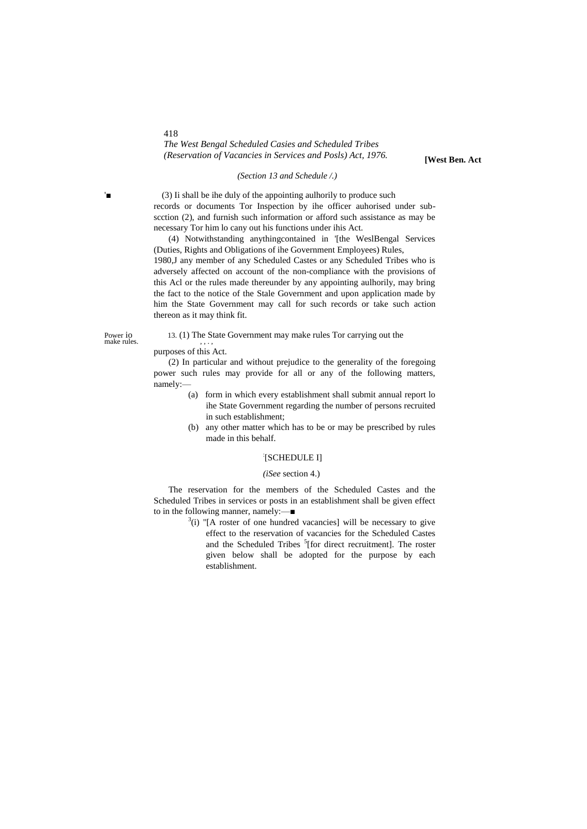# *The West Bengal Scheduled Casies and Scheduled Tribes (Reservation of Vacancies in Services and Posls) Act, 1976.* **[West Ben. Act**

#### *(Section 13 and Schedule /.)*

(3) Ii shall be ihe duly of the appointing aulhorily to produce such records or documents Tor Inspection by ihe officer auhorised under subscction (2), and furnish such information or afford such assistance as may be necessary Tor him lo cany out his functions under ihis Act.

(4) Notwithstanding anythingcontained in '[the WeslBengal Services (Duties, Rights and Obligations of ihe Government Employees) Rules, 1980,J any member of any Scheduled Castes or any Scheduled Tribes who is adversely affected on account of the non-compliance with the provisions of this Acl or the rules made thereunder by any appointing aulhorily, may bring the fact to the notice of the Stale Government and upon application made by him the State Government may call for such records or take such action thereon as it may think fit.

Power io<br>make rules.

#### 13. (1) The State Government may make rules Tor carrying out the

purposes of this Act.

(2) In particular and without prejudice to the generality of the foregoing power such rules may provide for all or any of the following matters, namely:—

- (a) form in which every establishment shall submit annual report lo ihe State Government regarding the number of persons recruited in such establishment;
- (b) any other matter which has to be or may be prescribed by rules made in this behalf.

#### : [SCHEDULE I]

#### *(iSee* section 4.)

The reservation for the members of the Scheduled Castes and the Scheduled Tribes in services or posts in an establishment shall be given effect to in the following manner, namely:—■

> $3(i)$  "[A roster of one hundred vacancies] will be necessary to give effect to the reservation of vacancies for the Scheduled Castes and the Scheduled Tribes <sup>5</sup>[for direct recruitment]. The roster given below shall be adopted for the purpose by each establishment.

418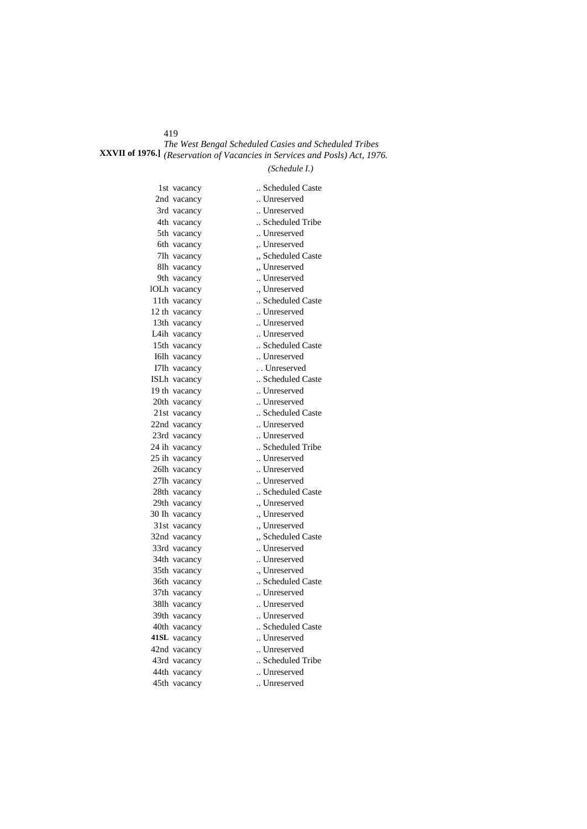419

# *The West Bengal Scheduled Casies and Scheduled Tribes* **XXVII of 1976.]** *(Reservation of Vacancies in Services and Posls) Act, 1976.*

# *(Schedule I.)*

| 1st vacancy   | Scheduled Caste  |
|---------------|------------------|
| 2nd vacancy   | Unreserved       |
| 3rd vacancy   | Unreserved       |
| 4th vacancy   | Scheduled Tribe  |
| 5th vacancy   | Unreserved       |
| 6th vacancy   | Unreserved       |
| 7lh vacancy   | "Scheduled Caste |
| 8lh vacancy   | "Unreserved      |
| 9th vacancy   | Unreserved       |
| IOLh vacancy  | ., Unreserved    |
| 11th vacancy  | Scheduled Caste  |
| 12 th vacancy | Unreserved       |
| 13th vacancy  | Unreserved       |
| L4ih vacancy  | Unreserved       |
| 15th vacancy  | Scheduled Caste  |
| I6lh vacancy  | Unreserved       |
| I7lh vacancy  | Unreserved       |
| ISLh vacancy  | Scheduled Caste  |
| 19 th vacancy | Unreserved       |
| 20th vacancy  | Unreserved       |
| 21st vacancy  | Scheduled Caste  |
| 22nd vacancy  | Unreserved       |
| 23rd vacancy  | Unreserved       |
| 24 ih vacancy | Scheduled Tribe  |
| 25 ih vacancy | Unreserved       |
| 26lh vacancy  | Unreserved       |
| 27lh vacancy  | Unreserved       |
| 28th vacancy  | Scheduled Caste  |
| 29th vacancy  | ., Unreserved    |
| 30 Ih vacancy | ., Unreserved    |
| 31st vacancy  | ., Unreserved    |
| 32nd vacancy  | Scheduled Caste  |
| 33rd vacancy  | Unreserved       |
| 34th vacancy  | Unreserved       |
| 35th vacancy  | ., Unreserved    |
| 36th vacancy  | Scheduled Caste  |
| 37th vacancy  | Unreserved       |
| 38lh vacancy  | Unreserved       |
| 39th vacancy  | Unreserved       |
| 40th vacancy  | Scheduled Caste  |
| 41SL vacancy  | Unreserved       |
| 42nd vacancy  | Unreserved       |
| 43rd vacancy  | Scheduled Tribe  |
| 44th vacancy  | Unreserved       |
| 45th vacancy  | Unreserved       |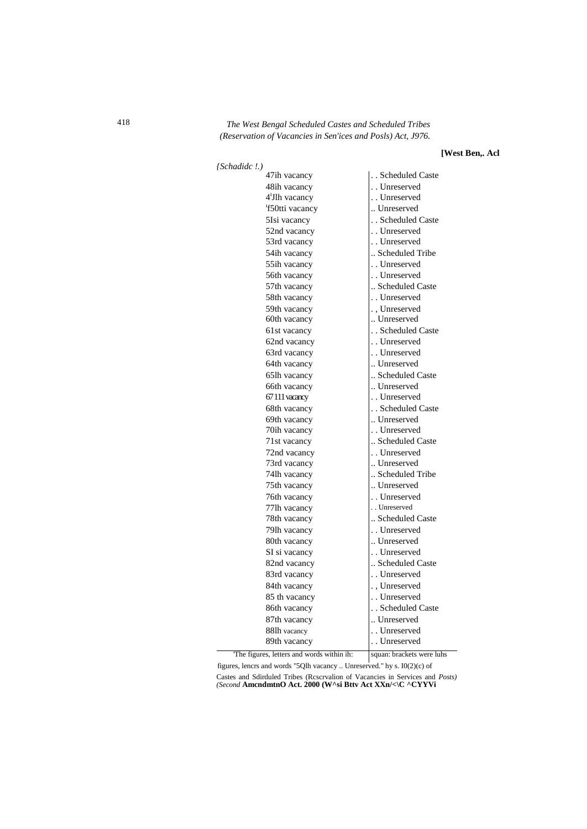# 418 *The West Bengal Scheduled Castes and Scheduled Tribes (Reservation of Vacancies in Sen'ices and Posls) Act, J976.*

### **[West Ben,. Acl**

| (Schadidc!.)               |                 |
|----------------------------|-----------------|
| 47ih vacancy               | Scheduled Caste |
| 48ih vacancy               | Unreserved      |
| 4 <sup>1</sup> Jlh vacancy | Unreserved      |
| f50tti vacancy             | Unreserved      |
| 5Isi vacancy               | Scheduled Caste |
| 52nd vacancy               | Unreserved      |
| 53rd vacancy               | Unreserved      |
| 54ih vacancy               | Scheduled Tribe |
| 55ih vacancy               | Unreserved      |
| 56th vacancy               | Unreserved      |
| 57th vacancy               | Scheduled Caste |
| 58th vacancy               | Unreserved      |
| 59th vacancy               | ., Unreserved   |
| 60th vacancy               | Unreserved      |
| 61st vacancy               | Scheduled Caste |
| 62nd vacancy               | Unreserved      |
| 63rd vacancy               | Unreserved      |
| 64th vacancy               | Unreserved      |
| 65lh vacancy               | Scheduled Caste |
| 66th vacancy               | Unreserved      |
| 67 111 vacancy             | Unreserved      |
| 68th vacancy               | Scheduled Caste |
| 69th vacancy               | Unreserved      |
| 70ih vacancy               | Unreserved      |
| 71st vacancy               | Scheduled Caste |
| 72nd vacancy               | Unreserved      |
| 73rd vacancy               | Unreserved      |
| 74lh vacancy               | Scheduled Tribe |
| 75th vacancy               | Unreserved      |
| 76th vacancy               | Unreserved      |
| 77lh vacancy               | Unreserved      |
| 78th vacancy               | Scheduled Caste |
| 79lh vacancy               | Unreserved      |
| 80th vacancy               | Unreserved      |
| SI si vacancy              | Unreserved      |
| 82nd vacancy               | Scheduled Caste |
| 83rd vacancy               | Unreserved      |
| 84th vacancy               | Unreserved      |
| 85 th vacancy              | Unreserved      |
| 86th vacancy               | Scheduled Caste |
| 87th vacancy               | Unreserved      |
| 88lh vacancy               | Unreserved      |
| 89th vacancy               | Unreserved      |
|                            |                 |

The figures, letters and words within ih: squan: brackets were luhs

figures, lencrs and words "5Qlh vacancy .. Unreserved." hy s. I0(2)(c) of Castes and Sdirduled Tribes (Rcscrvalion of Vacancies in Services and *Posts)* 

*(Second* **AmcndmtnO Act. 2000 (W^si Bttv Act XXn/<\C ^CYYVi**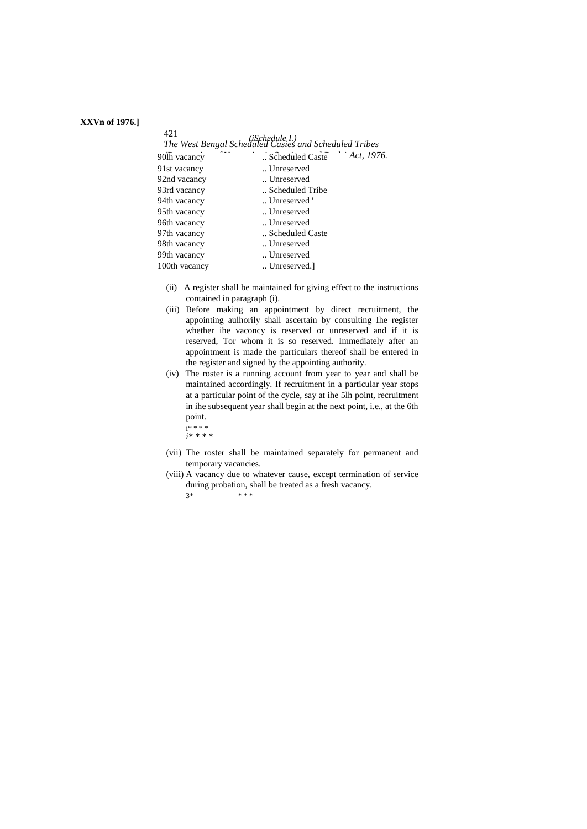#### **XXVn of 1976.]**

| 421           |                                                                         |            |
|---------------|-------------------------------------------------------------------------|------------|
|               | (iSchedule I.)<br>The West Bengal Scheduled Casies and Scheduled Tribes |            |
| 90lh vacancy  | Scheduled Caste                                                         | Act, 1976. |
| 91st vacancy  | Unreserved                                                              |            |
| 92nd vacancy  | Unreserved                                                              |            |
| 93rd vacancy  | Scheduled Tribe                                                         |            |
| 94th vacancy  | Unreserved '                                                            |            |
| 95th vacancy  | Unreserved                                                              |            |
| 96th vacancy  | Unreserved                                                              |            |
| 97th vacancy  | Scheduled Caste                                                         |            |
| 98th vacancy  | Unreserved                                                              |            |
| 99th vacancy  | Unreserved                                                              |            |
| 100th vacancy | Unreserved.                                                             |            |
|               |                                                                         |            |

- (ii) A register shall be maintained for giving effect to the instructions contained in paragraph (i).
- (iii) Before making an appointment by direct recruitment, the appointing aulhorily shall ascertain by consulting Ihe register whether ihe vaconcy is reserved or unreserved and if it is reserved, Tor whom it is so reserved. Immediately after an appointment is made the particulars thereof shall be entered in the register and signed by the appointing authority.
- (iv) The roster is a running account from year to year and shall be maintained accordingly. If recruitment in a particular year stops at a particular point of the cycle, say at ihe 5lh point, recruitment in ihe subsequent year shall begin at the next point, i.e., at the 6th point. i\* \* \* \*
	- *i\* \* \* \**
- (vii) The roster shall be maintained separately for permanent and temporary vacancies.
- (viii) A vacancy due to whatever cause, except termination of service during probation, shall be treated as a fresh vacancy.
	- $3*$  \* \* \*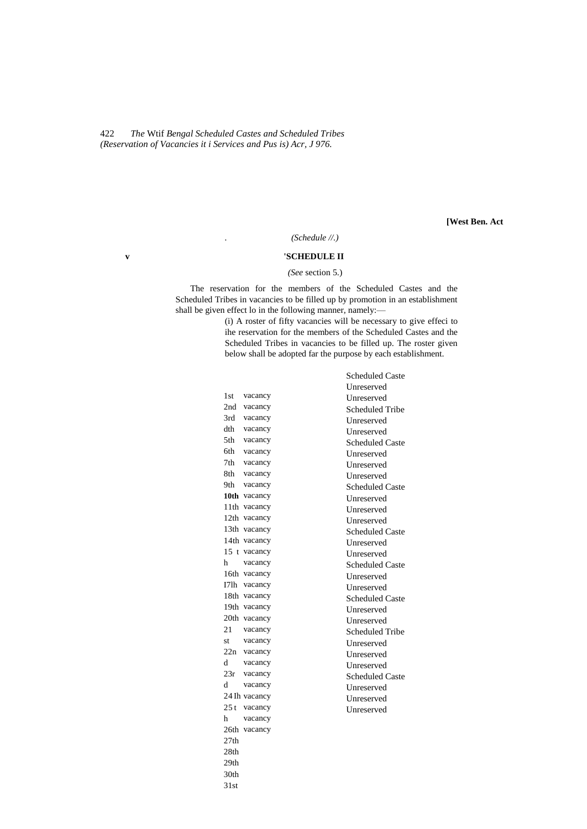422 *The* Wtif *Bengal Scheduled Castes and Scheduled Tribes (Reservation of Vacancies it i Services and Pus is) Acr, J 976.*

**[West Ben. Act**

#### *. (Schedule //.)*

### **v 'SCHEDULE II**

#### *(See* section 5.)

The reservation for the members of the Scheduled Castes and the Scheduled Tribes in vacancies to be filled up by promotion in an establishment shall be given effect lo in the following manner, namely:—

(i) A roster of fifty vacancies will be necessary to give effeci to ihe reservation for the members of the Scheduled Castes and the Scheduled Tribes in vacancies to be filled up. The roster given below shall be adopted far the purpose by each establishment.

|      |               | <b>Scheduled Caste</b> |
|------|---------------|------------------------|
|      |               | Unreserved             |
| 1st  | vacancy       | Unreserved             |
| 2nd  | vacancy       | <b>Scheduled Tribe</b> |
| 3rd  | vacancy       | Unreserved             |
| dth  | vacancy       | Unreserved             |
| 5th  | vacancy       | <b>Scheduled Caste</b> |
| 6th  | vacancy       | <b>Unreserved</b>      |
| 7th  | vacancy       | Unreserved             |
| 8th. | vacancy       | Unreserved             |
| 9th. | vacancy       | Scheduled Caste        |
|      | 10th vacancy  | Unreserved             |
|      | 11th vacancy  | Unreserved             |
|      | 12th vacancy  | Unreserved             |
|      | 13th vacancy  | <b>Scheduled Caste</b> |
|      | 14th vacancy  | Unreserved             |
|      | 15 t vacancy  | Unreserved             |
| h    | vacancy       | <b>Scheduled Caste</b> |
|      | 16th vacancy  | Unreserved             |
|      | I7lh vacancy  | <b>Unreserved</b>      |
|      | 18th vacancy  | <b>Scheduled Caste</b> |
|      | 19th vacancy  | <b>Unreserved</b>      |
|      | 20th vacancy  | Unreserved             |
| 21   | vacancy       | <b>Scheduled Tribe</b> |
| st   | vacancy       | Unreserved             |
|      | 22n vacancy   | Unreserved             |
| d    | vacancy       | Unreserved             |
|      | 23r vacancy   | <b>Scheduled Caste</b> |
| d    | vacancy       | Unreserved             |
|      | 24 Ih vacancy | Unreserved             |
| 25t  | vacancy       | Unreserved             |
| h.   | vacancy       |                        |
|      | 26th vacancy  |                        |
| 27th |               |                        |
| 28th |               |                        |
| 29th |               |                        |
| 30th |               |                        |
| 31st |               |                        |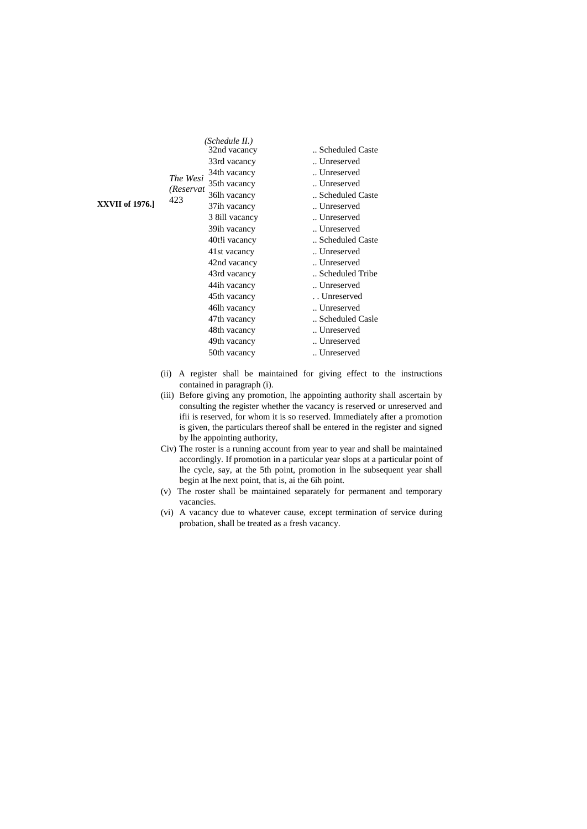|                 |                       | (Schedule II.)           |                 |
|-----------------|-----------------------|--------------------------|-----------------|
|                 |                       | 32nd vacancy             | Scheduled Caste |
|                 |                       | 33rd vacancy             | Unreserved      |
|                 |                       | 34th vacancy             | Unreserved      |
|                 | The Wesi<br>(Reservat | 35th vacancy             | Unreserved      |
|                 | 423                   | 36lh vacancy             | Scheduled Caste |
| XXVII of 1976.1 |                       | 37 <sub>ih</sub> vacancy | Unreserved      |
|                 |                       | 3 8 ill vacancy          | Unreserved      |
|                 |                       | 39ih vacancy             | Unreserved      |
|                 |                       | 40t!i vacancy            | Scheduled Caste |
|                 |                       | 41st vacancy             | Unreserved      |
|                 |                       | 42nd vacancy             | Unreserved      |
|                 |                       | 43rd vacancy             | Scheduled Tribe |
|                 |                       | 44ih vacancy             | Unreserved      |
|                 |                       | 45th vacancy             | Unreserved      |
|                 |                       | 46lh vacancy             | Unreserved      |
|                 |                       | 47th vacancy             | Scheduled Casle |
|                 |                       | 48th vacancy             | Unreserved      |
|                 |                       | 49th vacancy             | Unreserved      |
|                 |                       | 50th vacancy             | Unreserved      |
|                 |                       |                          |                 |

- (ii) A register shall be maintained for giving effect to the instructions contained in paragraph (i).
- (iii) Before giving any promotion, lhe appointing authority shall ascertain by consulting the register whether the vacancy is reserved or unreserved and ifii is reserved, for whom it is so reserved. Immediately after a promotion is given, the particulars thereof shall be entered in the register and signed by lhe appointing authority,
- Civ) The roster is a running account from year to year and shall be maintained accordingly. If promotion in a particular year slops at a particular point of lhe cycle, say, at the 5th point, promotion in lhe subsequent year shall begin at lhe next point, that is, ai the 6ih point.
- (v) The roster shall be maintained separately for permanent and temporary vacancies.
- (vi) A vacancy due to whatever cause, except termination of service during probation, shall be treated as a fresh vacancy.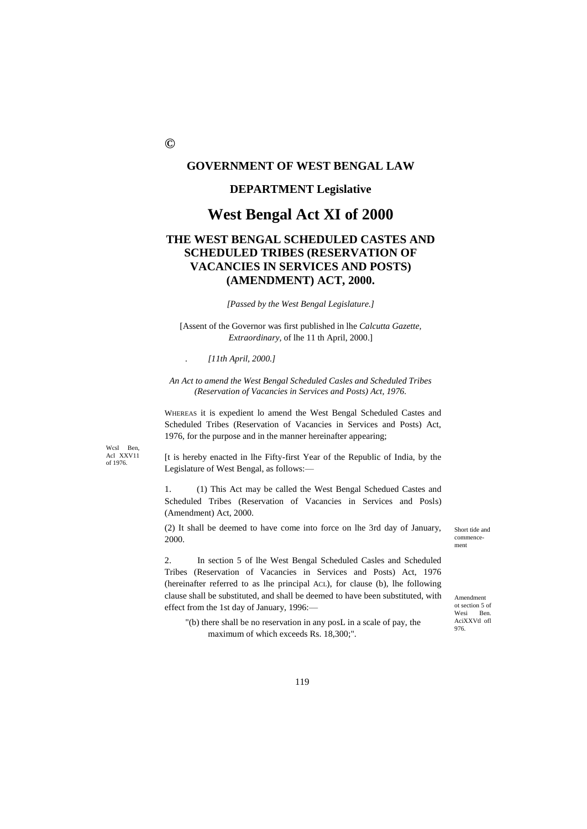# **GOVERNMENT OF WEST BENGAL LAW**

## **DEPARTMENT Legislative**

# **West Bengal Act XI of 2000**

# **THE WEST BENGAL SCHEDULED CASTES AND SCHEDULED TRIBES (RESERVATION OF VACANCIES IN SERVICES AND POSTS) (AMENDMENT) ACT, 2000.**

*[Passed by the West Bengal Legislature.]*

[Assent of the Governor was first published in lhe *Calcutta Gazette, Extraordinary,* of lhe 11 th April, 2000.]

*. [11th April, 2000.]*

*An Act to amend the West Bengal Scheduled Casles and Scheduled Tribes (Reservation of Vacancies in Services and Posts) Act, 1976.*

WHEREAS it is expedient lo amend the West Bengal Scheduled Castes and Scheduled Tribes (Reservation of Vacancies in Services and Posts) Act, 1976, for the purpose and in the manner hereinafter appearing;

Wcsl Ben, Acl XXV11 of 1976.

[t is hereby enacted in lhe Fifty-first Year of the Republic of India, by the Legislature of West Bengal, as follows:—

1. (1) This Act may be called the West Bengal Schedued Castes and Scheduled Tribes (Reservation of Vacancies in Services and Posls) (Amendment) Act, 2000.

(2) It shall be deemed to have come into force on lhe 3rd day of January, 2000.

2. In section 5 of lhe West Bengal Scheduled Casles and Scheduled Tribes (Reservation of Vacancies in Services and Posts) Act, 1976 (hereinafter referred to as lhe principal ACL), for clause (b), lhe following clause shall be substituted, and shall be deemed to have been substituted, with effect from the 1st day of January, 1996:—

"(b) there shall be no reservation in any posL in a scale of pay, the maximum of which exceeds Rs. 18,300;".

Short tide and commencement

Amendment ot section 5 of Wesi Ben. AciXXVtl ofl 976.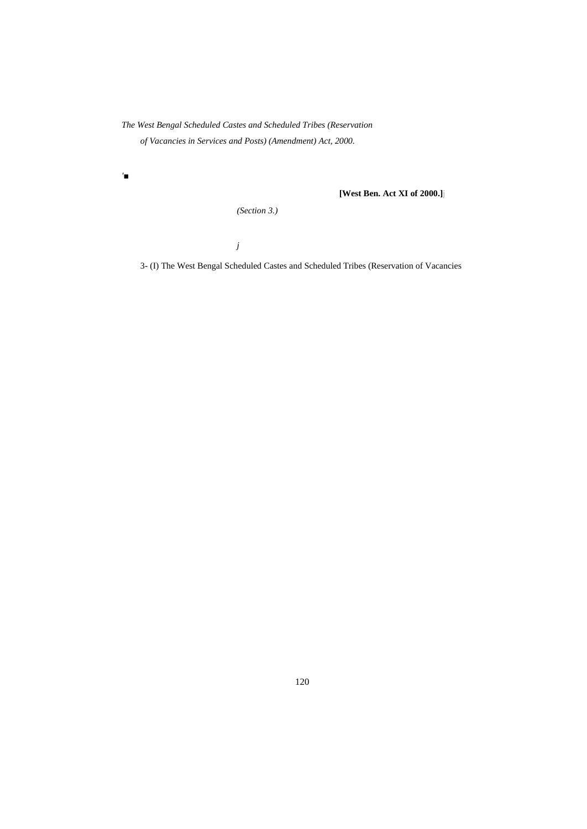*The West Bengal Scheduled Castes and Scheduled Tribes (Reservation of Vacancies in Services and Posts) (Amendment) Act, 2000.*

*'■*

**[West Ben. Act XI of 2000.]j**

*(Section 3.)*

*j*

3- (I) The West Bengal Scheduled Castes and Scheduled Tribes (Reservation of Vacancies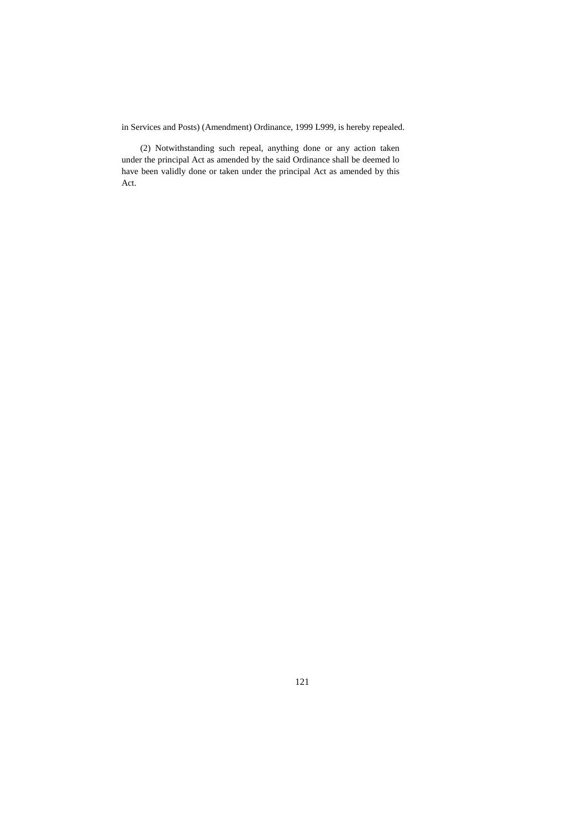in Services and Posts) (Amendment) Ordinance, 1999 L999, is hereby repealed.

(2) Notwithstanding such repeal, anything done or any action taken under the principal Act as amended by the said Ordinance shall be deemed lo have been validly done or taken under the principal Act as amended by this Act.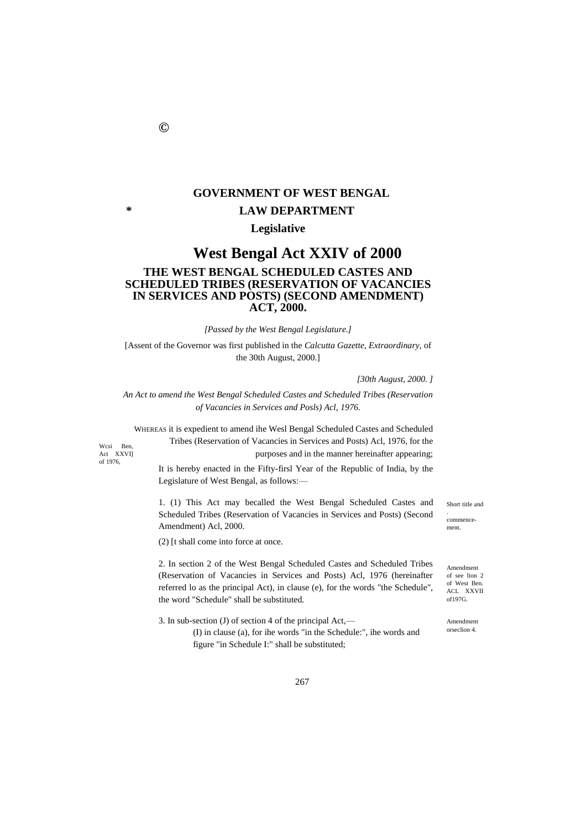# **GOVERNMENT OF WEST BENGAL \* LAW DEPARTMENT**

# **Legislative**

# **West Bengal Act XXIV of 2000 THE WEST BENGAL SCHEDULED CASTES AND SCHEDULED TRIBES (RESERVATION OF VACANCIES IN SERVICES AND POSTS) (SECOND AMENDMENT) ACT, 2000.**

*[Passed by the West Bengal Legislature.]*

[Assent of the Governor was first published in the *Calcutta Gazette, Extraordinary*, of the 30th August, 2000.]

*[30th August, 2000. ]*

*An Act to amend the West Bengal Scheduled Castes and Scheduled Tribes (Reservation of Vacancies in Services and Posls) Acl, 1976.*

WHEREAS it is expedient to amend ihe Wesl Bengal Scheduled Castes and Scheduled Tribes (Reservation of Vacancies in Services and Posts) Acl, 1976, for the purposes and in the manner hereinafter appearing;

Wcsi Ben, Act XXVI] of 1976,

It is hereby enacted in the Fifty-firsl Year of the Republic of India, by the Legislature of West Bengal, as follows:—

1. (1) This Act may becalled the West Bengal Scheduled Castes and Scheduled Tribes (Reservation of Vacancies in Services and Posts) (Second Amendment) Acl, 2000.

(2) [t shall come into force at once.

2. In section 2 of the West Bengal Scheduled Castes and Scheduled Tribes (Reservation of Vacancies in Services and Posts) Acl, 1976 (hereinafter referred lo as the principal Act), in clause (e), for the words "the Schedule", the word "Schedule" shall be substituted.

3. In sub-section (J) of section 4 of the principal Act,— (I) in clause (a), for ihe words "in the Schedule:", ihe words and

figure "in Schedule I:" shall be substituted;

Short title and

commencement.

.

Amendment of see lion 2 of West Ben. ACL XXVII of197G.

Amendment orseclion 4.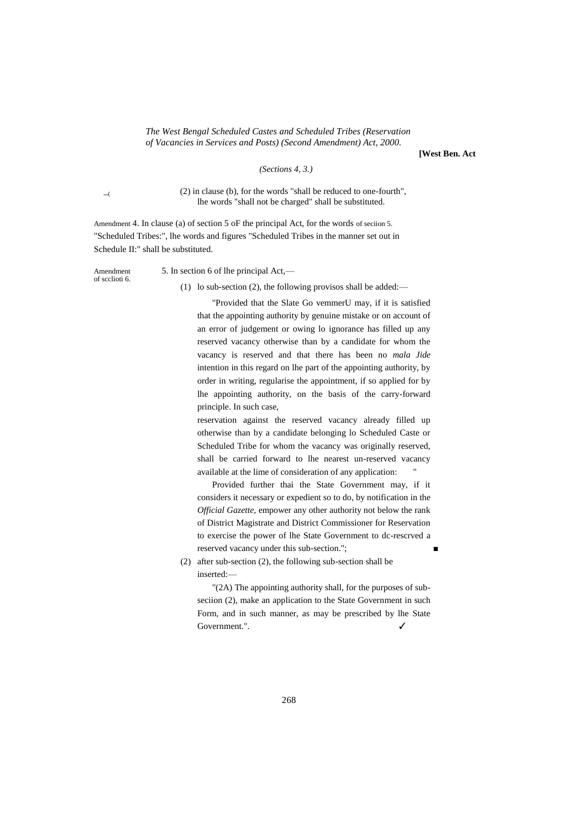#### *The West Bengal Scheduled Castes and Scheduled Tribes (Reservation of Vacancies in Services and Posts) (Second Amendment) Act, 2000.*

**[West Ben. Act**

*(Sections 4, 3.)*

 $\overline{a}$ 

(2) in clause (b), for the words "shall be reduced to one-fourth", lhe words "shall not be charged" shall be substituted.

Amendment 4. In clause (a) of section 5 oF the principal Act, for the words of seciion 5. "Scheduled Tribes:", lhe words and figures "Scheduled Tribes in the manner set out in Schedule II:" shall be substituted.

Amendment 5. In section 6 of lhe principal Act, of scclioti 6.

(1) lo sub-section (2), the following provisos shall be added:—

"Provided that the Slate Go vemmerU may, if it is satisfied that the appointing authority by genuine mistake or on account of an error of judgement or owing lo ignorance has filled up any reserved vacancy otherwise than by a candidate for whom the vacancy is reserved and that there has been no *mala Jide* intention in this regard on lhe part of the appointing authority, by order in writing, regularise the appointment, if so applied for by lhe appointing authority, on the basis of the carry-forward principle. In such case,

reservation against the reserved vacancy already filled up otherwise than by a candidate belonging lo Scheduled Caste or Scheduled Tribe for whom the vacancy was originally reserved, shall be carried forward to lhe nearest un-reserved vacancy available at the lime of consideration of any application:

Provided further thai the State Government may, if it considers it necessary or expedient so to do, by notification in the *Official Gazette,* empower any other authority not below the rank of District Magistrate and District Commissioner for Reservation to exercise the power of lhe State Government to dc-rescrved a reserved vacancy under this sub-section.";

(2) after sub-section (2), the following sub-section shall be inserted:—

"(2A) The appointing authority shall, for the purposes of subseciion (2), make an application to the State Government in such Form, and in such manner, as may be prescribed by lhe State Government.".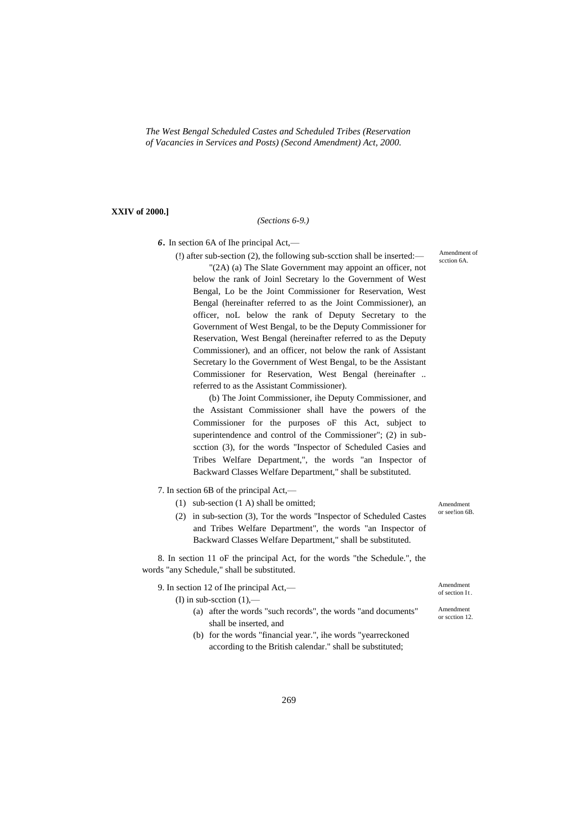*The West Bengal Scheduled Castes and Scheduled Tribes (Reservation of Vacancies in Services and Posts) (Second Amendment) Act, 2000.*

#### **XXIV of 2000.]**

#### *(Sections 6-9.)*

*6.* In section 6A of Ihe principal Act,—

(!) after sub-section (2), the following sub-scction shall be inserted:— "(2A) (a) The Slate Government may appoint an officer, not below the rank of Joinl Secretary lo the Government of West Bengal, Lo be the Joint Commissioner for Reservation, West Bengal (hereinafter referred to as the Joint Commissioner), an officer, noL below the rank of Deputy Secretary to the Government of West Bengal, to be the Deputy Commissioner for Reservation, West Bengal (hereinafter referred to as the Deputy Commissioner), and an officer, not below the rank of Assistant Secretary lo the Government of West Bengal, to be the Assistant Commissioner for Reservation, West Bengal (hereinafter .. referred to as the Assistant Commissioner).

(b) The Joint Commissioner, ihe Deputy Commissioner, and the Assistant Commissioner shall have the powers of the Commissioner for the purposes oF this Act, subject to superintendence and control of the Commissioner"; (2) in subscction (3), for the words "Inspector of Scheduled Casies and Tribes Welfare Department,", the words "an Inspector of Backward Classes Welfare Department," shall be substituted.

7. In section 6B of the principal Act,—

- (1) sub-section (1 A) shall be omitted;
- (2) in sub-section (3), Tor the words "Inspector of Scheduled Castes and Tribes Welfare Department", the words "an Inspector of Backward Classes Welfare Department," shall be substituted.

8. In section 11 oF the principal Act, for the words "the Schedule.", the words "any Schedule," shall be substituted.

9. In section 12 of Ihe principal Act,—

(I) in sub-section  $(1)$ ,—

- (a) after the words "such records", the words "and documents" shall be inserted, and
- (b) for the words "financial year.", ihe words "yearreckoned according to the British calendar." shall be substituted;

Amendment of scction 6A.

Amendment or see!ion 6B.

Amendment of section It

Amendment or scction 12.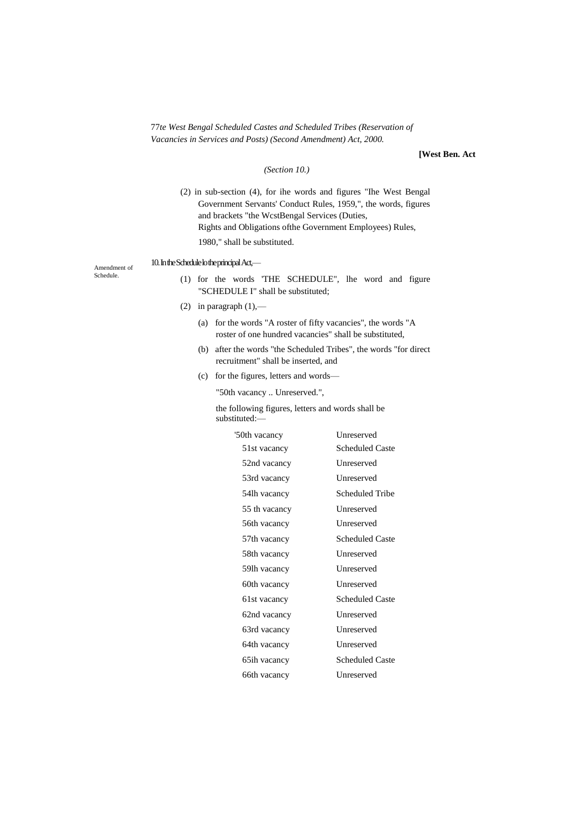77*te West Bengal Scheduled Castes and Scheduled Tribes (Reservation of Vacancies in Services and Posts) (Second Amendment) Act, 2000.*

### **[West Ben. Act**

#### *(Section 10.)*

(2) in sub-section (4), for ihe words and figures "Ihe West Bengal Government Servants' Conduct Rules, 1959,", the words, figures and brackets "the WcstBengal Services (Duties, Rights and Obligations ofthe Government Employees) Rules, 1980," shall be substituted.

Amendment of Schedule.

### 10. In the Schedule lo the principal Act,—

- (1) for the words 'THE SCHEDULE", lhe word and figure "SCHEDULE I" shall be substituted;
- (2) in paragraph  $(1)$ ,—
	- (a) for the words "A roster of fifty vacancies", the words "A roster of one hundred vacancies" shall be substituted,
	- (b) after the words "the Scheduled Tribes", the words "for direct recruitment" shall be inserted, and
	- (c) for the figures, letters and words—

"50th vacancy .. Unreserved.",

the following figures, letters and words shall be substituted:—

| '50th vacancy | Unreserved             |
|---------------|------------------------|
| 51st vacancy  | <b>Scheduled Caste</b> |
| 52nd vacancy  | Unreserved             |
| 53rd vacancy  | <b>Unreserved</b>      |
| 54lh vacancy  | Scheduled Tribe        |
| 55 th vacancy | Unreserved             |
| 56th vacancy  | Unreserved             |
| 57th vacancy  | Scheduled Caste        |
| 58th vacancy  | Unreserved             |
| 59lh vacancy  | Unreserved             |
| 60th vacancy  | Unreserved             |
| 61st vacancy  | Scheduled Caste        |
| 62nd vacancy  | Unreserved             |
| 63rd vacancy  | Unreserved             |
| 64th vacancy  | Unreserved             |
| 65ih vacancy  | <b>Scheduled Caste</b> |
| 66th vacancy  | Unreserved             |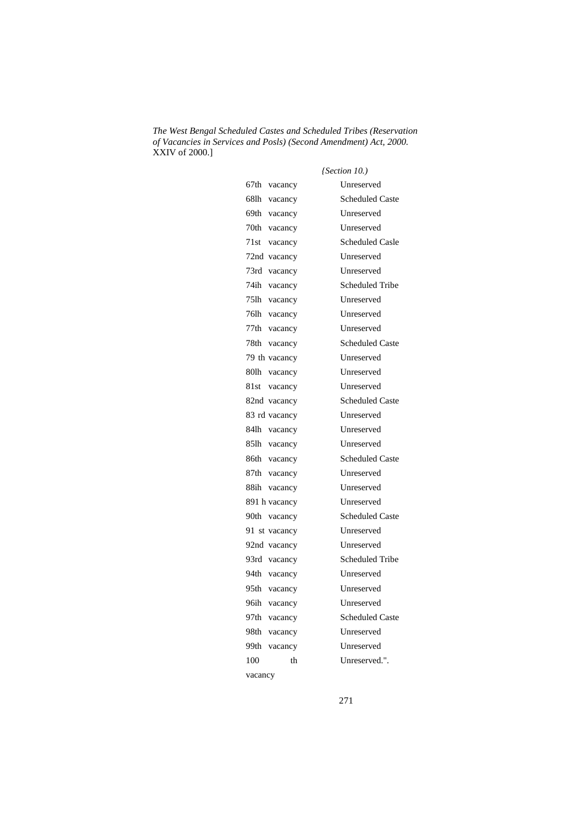*The West Bengal Scheduled Castes and Scheduled Tribes (Reservation of Vacancies in Services and Posls) (Second Amendment) Act, 2000.* XXIV of 2000.]

|                  | (Section 10.)          |
|------------------|------------------------|
| 67th vacancy     | Unreserved             |
| 68lh vacancy     | <b>Scheduled Caste</b> |
| 69th<br>vacancy  | Unreserved             |
| 70th<br>vacancy  | Unreserved             |
| 71st<br>vacancy  | <b>Scheduled Casle</b> |
| 72nd vacancy     | Unreserved             |
| 73rd vacancy     | Unreserved             |
| 74ih vacancy     | <b>Scheduled Tribe</b> |
| 75lh vacancy     | Unreserved             |
| 761h<br>vacancy  | Unreserved             |
| 77th<br>vacancy  | Unreserved             |
| 78th<br>vacancy  | <b>Scheduled Caste</b> |
| 79 th vacancy    | Unreserved             |
| 80lh vacancy     | Unreserved             |
| 81st vacancy     | Unreserved             |
| 82nd vacancy     | <b>Scheduled Caste</b> |
| 83 rd vacancy    | Unreserved             |
| 84lh vacancy     | Unreserved             |
| 85lh vacancy     | Unreserved             |
| 86th vacancy     | <b>Scheduled Caste</b> |
| 87th vacancy     | Unreserved             |
| 88ih<br>vacancy  | Unreserved             |
| 891 h vacancy    | Unreserved             |
| 90th<br>vacancy  | <b>Scheduled Caste</b> |
| 91 st vacancy    | Unreserved             |
| 92nd vacancy     | Unreserved             |
| 93rd vacancy     | <b>Scheduled Tribe</b> |
| 94th vacancy     | Unreserved             |
| 95th vacancy     | Unreserved             |
| 96ih vacancy     | Unreserved             |
| 97th<br>vacancy  | <b>Scheduled Caste</b> |
| 98th<br>vacancy  | Unreserved             |
| 99th-<br>vacancy | Unreserved             |
| 100<br>th        | Unreserved.".          |
| vacancy          |                        |

271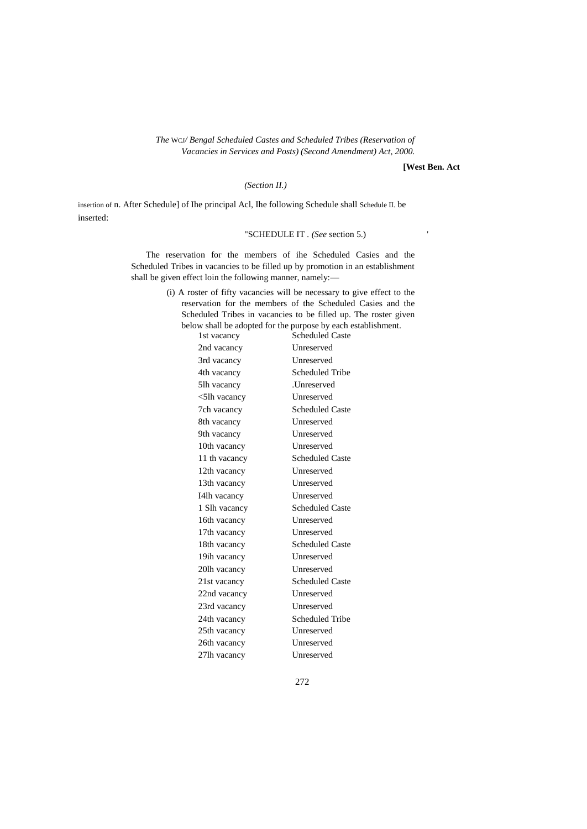*The* WCJ*/ Bengal Scheduled Castes and Scheduled Tribes (Reservation of Vacancies in Services and Posts) (Second Amendment) Act, 2000.*

**[West Ben. Act**

#### *(Section II.)*

insertion of n. After Schedule] of Ihe principal Acl, Ihe following Schedule shall Schedule II. be inserted:

# "SCHEDULE IT *. (See* section 5.) '

The reservation for the members of ihe Scheduled Casies and the Scheduled Tribes in vacancies to be filled up by promotion in an establishment shall be given effect loin the following manner, namely:—

> (i) A roster of fifty vacancies will be necessary to give effect to the reservation for the members of the Scheduled Casies and the Scheduled Tribes in vacancies to be filled up. The roster given below shall be adopted for the purpose by each establishment.

| 1st vacancy        | <b>Scheduled Caste</b> |
|--------------------|------------------------|
| 2nd vacancy        | Unreserved             |
| 3rd vacancy        | <b>Unreserved</b>      |
| 4th vacancy        | Scheduled Tribe        |
| 5lh vacancy        | Unreserved.            |
| $\leq$ 5lh vacancy | Unreserved             |
| 7ch vacancy        | <b>Scheduled Caste</b> |
| 8th vacancy        | Unreserved             |
| 9th vacancy        | Unreserved             |
| 10th vacancy       | Unreserved             |
| 11 th vacancy      | <b>Scheduled Caste</b> |
| 12th vacancy       | Unreserved             |
| 13th vacancy       | Unreserved             |
| I4lh vacancy       | Unreserved             |
| 1 Slh vacancy      | <b>Scheduled Caste</b> |
| 16th vacancy       | <b>Unreserved</b>      |
| 17th vacancy       | Unreserved             |
| 18th vacancy       | <b>Scheduled Caste</b> |
| 19ih vacancy       | Unreserved             |
| 20lh vacancy       | Unreserved             |
| 21st vacancy       | <b>Scheduled Caste</b> |
| 22nd vacancy       | Unreserved             |
| 23rd vacancy       | Unreserved             |
| 24th vacancy       | Scheduled Tribe        |
| 25th vacancy       | Unreserved             |
| 26th vacancy       | Unreserved             |
| 27lh vacancy       | Unreserved             |
|                    |                        |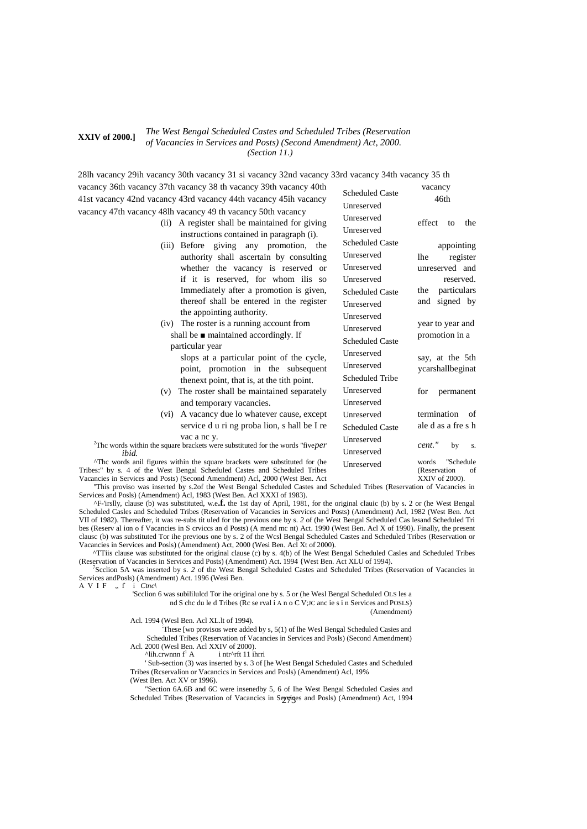#### *The West Bengal Scheduled Castes and Scheduled Tribes (Reservation of Vacancies in Services and Posts) (Second Amendment) Act, 2000.* **XXIV of 2000.]** *(Section 11.)*

Scheduled Caste Unreserved 28lh vacancy 29ih vacancy 30th vacancy 31 si vacancy 32nd vacancy 33rd vacancy 34th vacancy 35 th vacancy 36th vacancy 37th vacancy 38 th vacancy 39th vacancy 40th vacancy 40th vacancy 36th vacancy 38 th vacancy 40th vacancy 40th vacancy 30th vacancy 38 th vacancy 40th vacancy 40th vacancy 40th vacancy 40th vacancy 40t 41st vacancy 42nd vacancy 43rd vacancy 44th vacancy 45ih vacancy 46th

vacancy 47th vacancy 48lh vacancy 49 th vacancy 50th vacancy

- $(ii)$  A register shall be maintained for giving instructions contained in paragraph (i).
- $(iii)$  Before giving any promotion, the authority shall ascertain by consulting whether the vacancy is reserved or if it is reserved, for whom ilis so Immediately after a promotion is given, thereof shall be entered in the register the appointing authority.
- $(iv)$  The roster is a running account from shall be  $\blacksquare$  maintained accordingly. If particular year

slops at a particular point of the cycle, point, promotion in the subsequent thenext point, that is, at the tith point.

- $(v)$  The roster shall be maintained separately and temporary vacancies.
- (vi) A vacancy due lo whatever cause, except service d u ri ng proba lion, s hall be I re vac a nc y.

<sup>2</sup>Thc words within the square brackets were substituted for the words "five*per* cent." by s. *ibid.*

 $\Delta$ Thc words anil figures within the square brackets were substituted for (he Tribes:" by s. 4 of the West Bengal Scheduled Castes and Scheduled Tribes (Reservation of Vacancies in Services and Posts) (Second Amendment) Acl, 2000 (West Ben. Act XXIV of 2000). Vacancies in Services and Posts) (Second Amendment) Acl, 2000 (West Ben. Act

''This proviso was inserted by s.2of the West Bengal Scheduled Castes and Scheduled Tribes (Reservation of Vacancies in Services and Posls) (Amendment) Acl, 1983 (West Ben. Acl XXXI of 1983).

^F-'irslly, clause (b) was substituted, w.e**.f.** the 1st day of April, 1981, for the original clauic (b) by s. 2 or (he West Bengal Scheduled Casles and Scheduled Tribes (Reservation of Vacancies in Services and Posts) (Amendment) Acl, 1982 (West Ben. Act VII of 1982). Thereafter, it was re-subs tit uled for the previous one by s. *2* of (he West Bengal Scheduled Cas lesand Scheduled Tri bes (Reserv al ion o f Vacancies in S crviccs an d Posts) (A mend mc nt) Act. 1990 (West Ben. Acl X of 1990). Finally, the present clausc (b) was substituted Tor ihe previous one by s. 2 of the Wcsl Bengal Scheduled Castes and Scheduled Tribes (Reservation or Vacancies in Services and Posls) (Amendment) Act, 2000 (Wesi Ben. Acl Xt of 2000).

^TTiis clause was substituted for the original clause (c) by s. 4(b) of lhe West Bengal Scheduled Casles and Scheduled Tribes (Reservation of Vacancies in Services and Posts) (Amendment) Act. 1994 {West Ben. Act XLU of 1994).

7 Scclion 5A was inserted by s. *2* of the West Bengal Scheduled Castes and Scheduled Tribes (Reservation of Vacancies in Services andPosls) (Amendment) Act. 1996 (Wesi Ben.

A V I F  $\,$ , f i *Ctnc*\

'Scclion 6 was subililulcd Tor ihe original one by s. 5 or (he Wesl Bengal Scheduled OLS les a nd S chc du le d Tribes (Rc se rval i A n o C V;JC anc ie s i n Services and POSLS) (Amendment)

Acl. 1994 (Wesl Ben. Acl XL.lt of 1994).

: These [wo provisos were added by s, 5(1) of lhe Wesl Bengal Scheduled Casies and Scheduled Tribes (Reservation of Vacancies in Services and Posls) (Second Amendment) Acl. 2000 (Wesl Ben. Acl XXIV of 2000).<br>  $\Delta$ lih.crwnnn f<sup>1</sup> A intr $\Delta$ rft 11 ihrri

 $^{\text{Al}}$ ih.crwnnn f<sup>1</sup> A

' Sub-section (3) was inserted by s. 3 of [he West Bengal Scheduled Castes and Scheduled Tribes (Rcservalion or Vacancics in Services and Posls) (Amendment) Acl, 19% (West Ben. Act XV or 1996).

Scheduled Tribes (Reservation of Vacancics in Seyviges and Posls) (Amendment) Act, 1994 "Section 6A.6B and 6C were insenedby 5, 6 of Ihe West Bengal Scheduled Casies and

| Unreserved             | effect to the      |
|------------------------|--------------------|
| Unreserved             |                    |
| <b>Scheduled Caste</b> | appointing         |
| Unreserved             | register<br>lhe    |
| Unreserved             | unreserved and     |
| Unreserved             | reserved.          |
| <b>Scheduled Caste</b> | the particulars    |
| Unreserved             | signed by<br>and   |
| Unreserved             |                    |
| Unreserved             | year to year and   |
| <b>Scheduled Caste</b> | promotion in a     |
| Unreserved             | say, at the 5th    |
| Unreserved             | ycarshallbeginat   |
| <b>Scheduled Tribe</b> |                    |
| Unreserved             | for<br>permanent   |
| Unreserved             |                    |
| Unreserved             | termination of     |
| <b>Scheduled Caste</b> | ale d as a fre s h |
| Unreserved             |                    |
| Unreserved             | cent."<br>by s.    |
| Unreserved             | words "Schedule    |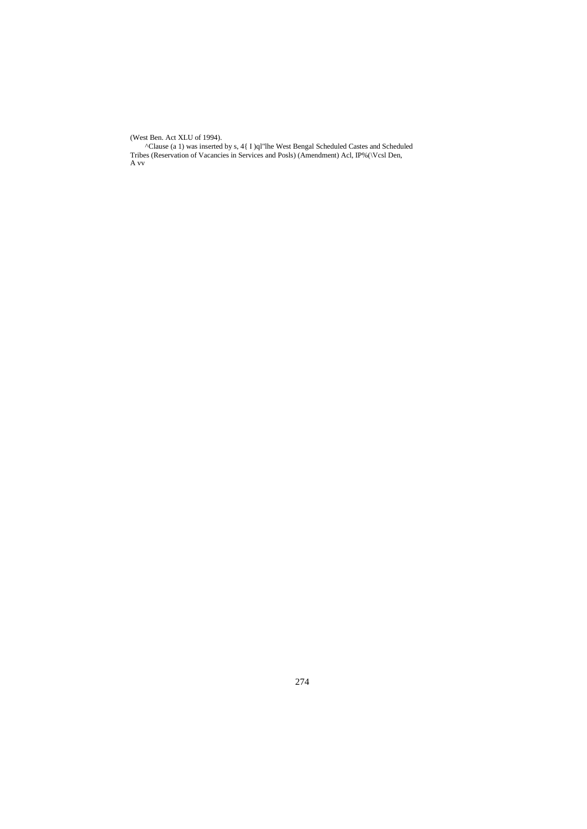(West Ben. Act XLU of 1994).

^Clause (a 1) was inserted by s, 4{ I )ql"lhe West Bengal Scheduled Castes and Scheduled Tribes (Reservation of Vacancies in Services and Posls) (Amendment) Acl, IP%(\Vcsl Den, A vv